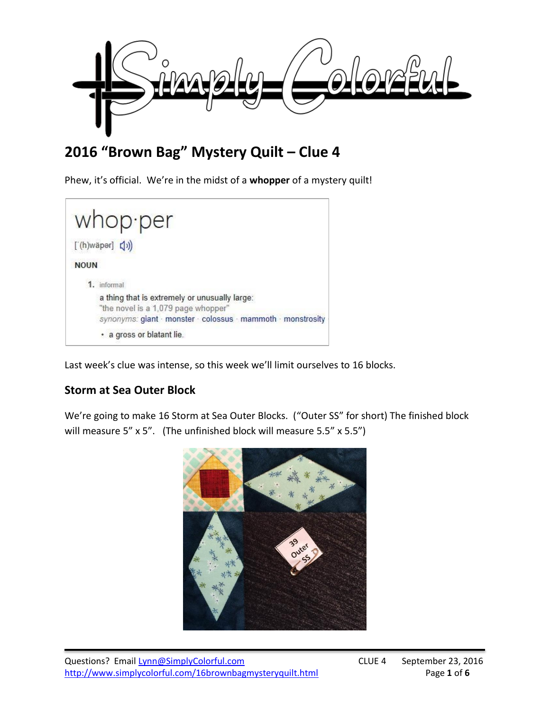

# **2016 "Brown Bag" Mystery Quilt – Clue 4**

Phew, it's official. We're in the midst of a **whopper** of a mystery quilt!

|                     | whop per                                                                             |
|---------------------|--------------------------------------------------------------------------------------|
| $[(h)$ wäper $](f)$ |                                                                                      |
| <b>NOUN</b>         |                                                                                      |
|                     | 1. informal                                                                          |
|                     | a thing that is extremely or unusually large:<br>"the novel is a 1,079 page whopper" |
|                     | synonyms: giant · monster · colossus · mammoth · monstrosity                         |
|                     | · a gross or blatant lie.                                                            |

Last week's clue was intense, so this week we'll limit ourselves to 16 blocks.

# **Storm at Sea Outer Block**

We're going to make 16 Storm at Sea Outer Blocks. ("Outer SS" for short) The finished block will measure 5" x 5". (The unfinished block will measure 5.5" x 5.5")

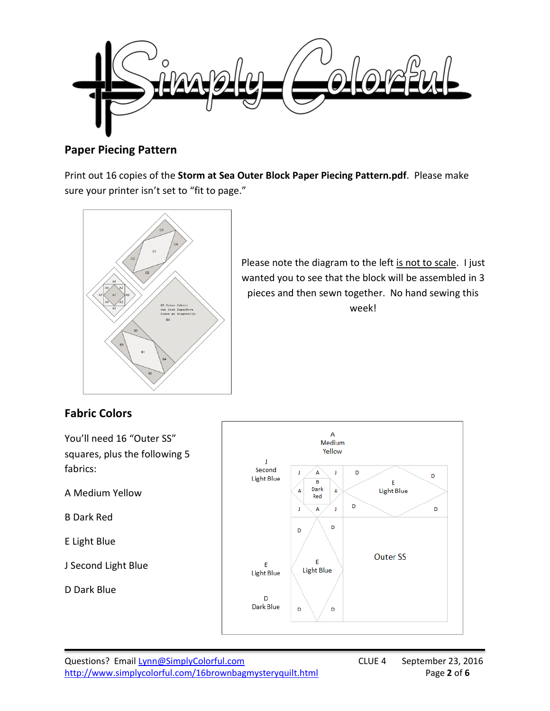

## **Paper Piecing Pattern**

Print out 16 copies of the **Storm at Sea Outer Block Paper Piecing Pattern.pdf**. Please make sure your printer isn't set to "fit to page."



Please note the diagram to the left is not to scale. I just wanted you to see that the block will be assembled in 3 pieces and then sewn together. No hand sewing this week!

# **Fabric Colors**

You'll need 16 "Outer SS" squares, plus the following 5 fabrics:

A Medium Yellow

B Dark Red

E Light Blue

J Second Light Blue

D Dark Blue

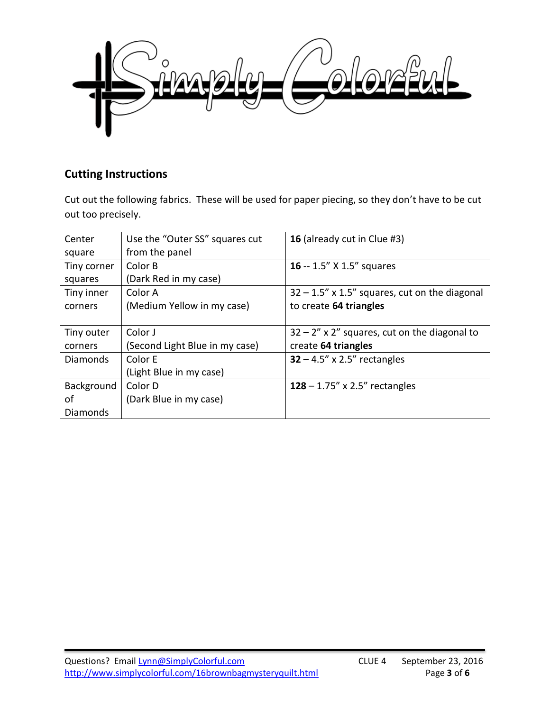

## **Cutting Instructions**

Cut out the following fabrics. These will be used for paper piecing, so they don't have to be cut out too precisely.

| Center          | Use the "Outer SS" squares cut | 16 (already cut in Clue #3)                      |
|-----------------|--------------------------------|--------------------------------------------------|
| square          | from the panel                 |                                                  |
| Tiny corner     | Color B                        | 16 -- 1.5" X 1.5" squares                        |
| squares         | (Dark Red in my case)          |                                                  |
| Tiny inner      | Color A                        | $32 - 1.5$ " x 1.5" squares, cut on the diagonal |
| corners         | (Medium Yellow in my case)     | to create 64 triangles                           |
|                 |                                |                                                  |
| Tiny outer      | Color J                        | $32 - 2''$ x 2" squares, cut on the diagonal to  |
| corners         | (Second Light Blue in my case) | create 64 triangles                              |
| <b>Diamonds</b> | Color E                        | $32 - 4.5''$ x 2.5" rectangles                   |
|                 | (Light Blue in my case)        |                                                  |
| Background      | Color D                        | 128 – 1.75" x 2.5" rectangles                    |
| οf              | (Dark Blue in my case)         |                                                  |
| Diamonds        |                                |                                                  |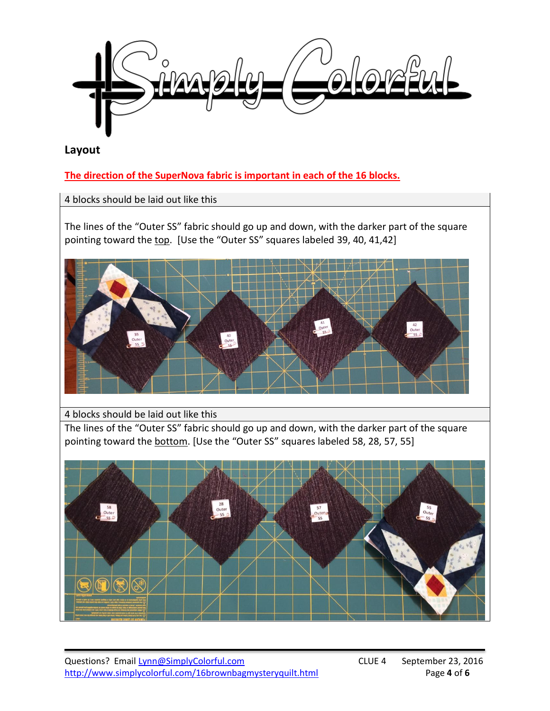

## **Layout**

**The direction of the SuperNova fabric is important in each of the 16 blocks.** 

4 blocks should be laid out like this

The lines of the "Outer SS" fabric should go up and down, with the darker part of the square pointing toward the top. [Use the "Outer SS" squares labeled 39, 40, 41,42]



## 4 blocks should be laid out like this

The lines of the "Outer SS" fabric should go up and down, with the darker part of the square pointing toward the bottom. [Use the "Outer SS" squares labeled 58, 28, 57, 55]

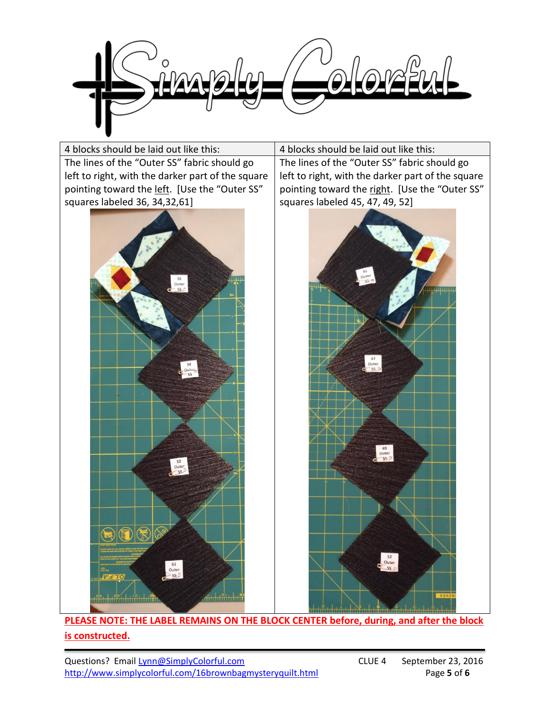



**PLEASE NOTE: THE LABEL REMAINS ON THE BLOCK CENTER before, during, and after the block is constructed.**